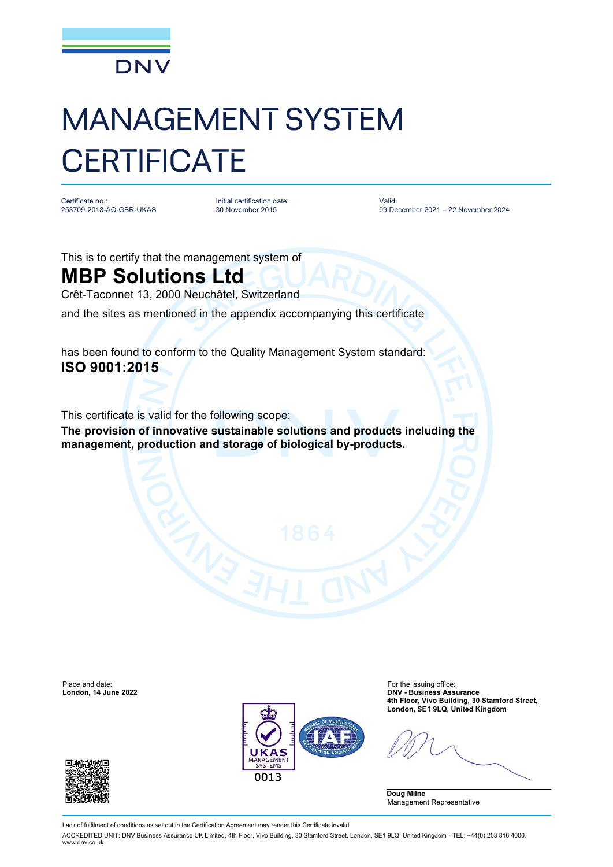

## MANAGEMENT SYSTEM **CERTIFICATE**

Certificate no.: 253709-2018-AQ-GBR-UKAS

Initial certification date: 30 November 2015

Valid: 09 December 2021 – 22 November 2024

This is to certify that the management system of

## **MBP Solutions Ltd**

Crêt-Taconnet 13, 2000 Neuchâtel, Switzerland

and the sites as mentioned in the appendix accompanying this certificate

has been found to conform to the Quality Management System standard: **ISO 9001:2015**

This certificate is valid for the following scope:

**The provision of innovative sustainable solutions and products including the management, production and storage of biological by-products.**



Place and date: For the issuing office: **London, 14 June 2022 DNV - Business Assurance 4th Floor, Vivo Building, 30 Stamford Street, London, SE1 9LQ, United Kingdom**

**Doug Milne** Management Representative



Lack of fulfilment of conditions as set out in the Certification Agreement may render this Certificate invalid.

ACCREDITED UNIT: DNV Business Assurance UK Limited, 4th Floor, Vivo Building, 30 Stamford Street, London, SE1 9LQ, United Kingdom - TEL: +44(0) 203 816 4000. [www.dnv.co.uk](http://www.dnv.co.uk)